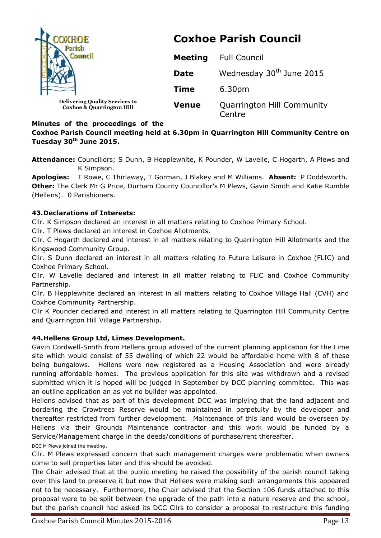

# **Minutes of the proceedings of the**

# **Coxhoe Parish Council meeting held at 6.30pm in Quarrington Hill Community Centre on Tuesday 30th June 2015.**

**Attendance:** Councillors; S Dunn, B Hepplewhite, K Pounder, W Lavelle, C Hogarth, A Plews and K Simpson.

**Apologies:** T Rowe, C Thirlaway, T Gorman, J Blakey and M Williams. **Absent:** P Doddsworth. **Other:** The Clerk Mr G Price, Durham County Councillor's M Plews, Gavin Smith and Katie Rumble (Hellens). 0 Parishioners.

### **43.Declarations of Interests:**

Cllr. K Simpson declared an interest in all matters relating to Coxhoe Primary School.

Cllr. T Plews declared an interest in Coxhoe Allotments.

Cllr. C Hogarth declared and interest in all matters relating to Quarrington Hill Allotments and the Kingswood Community Group.

Cllr. S Dunn declared an interest in all matters relating to Future Leisure in Coxhoe (FLIC) and Coxhoe Primary School.

Cllr. W Lavelle declared and interest in all matter relating to FLiC and Coxhoe Community Partnership.

Cllr. B Hepplewhite declared an interest in all matters relating to Coxhoe Village Hall (CVH) and Coxhoe Community Partnership.

Cllr K Pounder declared and interest in all matters relating to Quarrington Hill Community Centre and Quarrington Hill Village Partnership.

## **44.Hellens Group Ltd, Limes Development.**

Gavin Cordwell-Smith from Hellens group advised of the current planning application for the Lime site which would consist of 55 dwelling of which 22 would be affordable home with 8 of these being bungalows. Hellens were now registered as a Housing Association and were already running affordable homes. The previous application for this site was withdrawn and a revised submitted which it is hoped will be judged in September by DCC planning committee. This was an outline application an as yet no builder was appointed.

Hellens advised that as part of this development DCC was implying that the land adjacent and bordering the Crowtrees Reserve would be maintained in perpetuity by the developer and thereafter restricted from further development. Maintenance of this land would be overseen by Hellens via their Grounds Maintenance contractor and this work would be funded by a Service/Management charge in the deeds/conditions of purchase/rent thereafter. DCC M Plews joined the meeting.

Cllr. M Plews expressed concern that such management charges were problematic when owners come to sell properties later and this should be avoided.

The Chair advised that at the public meeting he raised the possibility of the parish council taking over this land to preserve it but now that Hellens were making such arrangements this appeared not to be necessary. Furthermore, the Chair advised that the Section 106 funds attached to this proposal were to be split between the upgrade of the path into a nature reserve and the school, but the parish council had asked its DCC Cllrs to consider a proposal to restructure this funding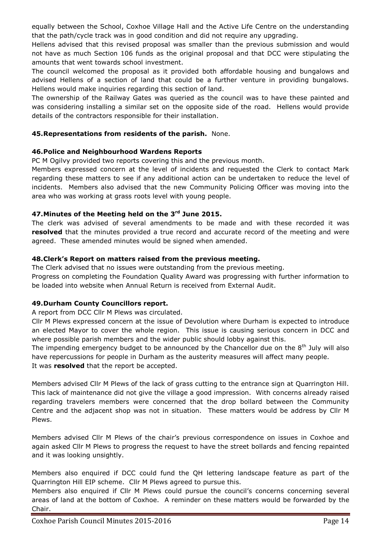equally between the School, Coxhoe Village Hall and the Active Life Centre on the understanding that the path/cycle track was in good condition and did not require any upgrading.

Hellens advised that this revised proposal was smaller than the previous submission and would not have as much Section 106 funds as the original proposal and that DCC were stipulating the amounts that went towards school investment.

The council welcomed the proposal as it provided both affordable housing and bungalows and advised Hellens of a section of land that could be a further venture in providing bungalows. Hellens would make inquiries regarding this section of land.

The ownership of the Railway Gates was queried as the council was to have these painted and was considering installing a similar set on the opposite side of the road. Hellens would provide details of the contractors responsible for their installation.

## **45.Representations from residents of the parish.** None.

# **46.Police and Neighbourhood Wardens Reports**

PC M Ogilvy provided two reports covering this and the previous month.

Members expressed concern at the level of incidents and requested the Clerk to contact Mark regarding these matters to see if any additional action can be undertaken to reduce the level of incidents. Members also advised that the new Community Policing Officer was moving into the area who was working at grass roots level with young people.

# **47.Minutes of the Meeting held on the 3 rd June 2015.**

The clerk was advised of several amendments to be made and with these recorded it was **resolved** that the minutes provided a true record and accurate record of the meeting and were agreed. These amended minutes would be signed when amended.

# **48.Clerk's Report on matters raised from the previous meeting.**

The Clerk advised that no issues were outstanding from the previous meeting. Progress on completing the Foundation Quality Award was progressing with further information to be loaded into website when Annual Return is received from External Audit.

# **49.Durham County Councillors report.**

A report from DCC Cllr M Plews was circulated.

Cllr M Plews expressed concern at the issue of Devolution where Durham is expected to introduce an elected Mayor to cover the whole region. This issue is causing serious concern in DCC and where possible parish members and the wider public should lobby against this.

The impending emergency budget to be announced by the Chancellor due on the  $8<sup>th</sup>$  July will also have repercussions for people in Durham as the austerity measures will affect many people. It was **resolved** that the report be accepted.

Members advised Cllr M Plews of the lack of grass cutting to the entrance sign at Quarrington Hill. This lack of maintenance did not give the village a good impression. With concerns already raised regarding travelers members were concerned that the drop bollard between the Community Centre and the adjacent shop was not in situation. These matters would be address by Cllr M Plews.

Members advised Cllr M Plews of the chair's previous correspondence on issues in Coxhoe and again asked Cllr M Plews to progress the request to have the street bollards and fencing repainted and it was looking unsightly.

Members also enquired if DCC could fund the QH lettering landscape feature as part of the Quarrington Hill EIP scheme. Cllr M Plews agreed to pursue this.

Members also enquired if Cllr M Plews could pursue the council's concerns concerning several areas of land at the bottom of Coxhoe. A reminder on these matters would be forwarded by the Chair.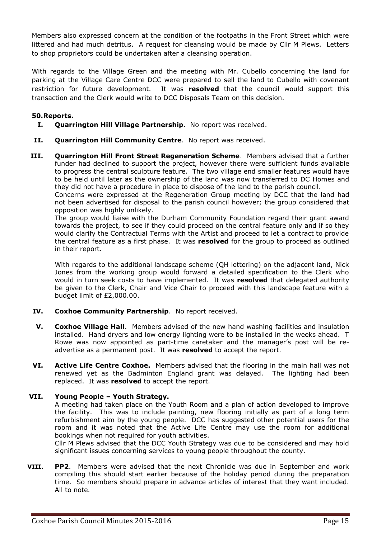Members also expressed concern at the condition of the footpaths in the Front Street which were littered and had much detritus. A request for cleansing would be made by Cllr M Plews. Letters to shop proprietors could be undertaken after a cleansing operation.

With regards to the Village Green and the meeting with Mr. Cubello concerning the land for parking at the Village Care Centre DCC were prepared to sell the land to Cubello with covenant restriction for future development. It was **resolved** that the council would support this transaction and the Clerk would write to DCC Disposals Team on this decision.

### **50.Reports.**

- **I. Quarrington Hill Village Partnership**. No report was received.
- **II. Quarrington Hill Community Centre**. No report was received.
- **III. Quarrington Hill Front Street Regeneration Scheme**. Members advised that a further funder had declined to support the project, however there were sufficient funds available to progress the central sculpture feature. The two village end smaller features would have to be held until later as the ownership of the land was now transferred to DC Homes and they did not have a procedure in place to dispose of the land to the parish council.

Concerns were expressed at the Regeneration Group meeting by DCC that the land had not been advertised for disposal to the parish council however; the group considered that opposition was highly unlikely.

The group would liaise with the Durham Community Foundation regard their grant award towards the project, to see if they could proceed on the central feature only and if so they would clarify the Contractual Terms with the Artist and proceed to let a contract to provide the central feature as a first phase. It was **resolved** for the group to proceed as outlined in their report.

With regards to the additional landscape scheme (QH lettering) on the adjacent land, Nick Jones from the working group would forward a detailed specification to the Clerk who would in turn seek costs to have implemented. It was **resolved** that delegated authority be given to the Clerk, Chair and Vice Chair to proceed with this landscape feature with a budget limit of £2,000.00.

- **IV. Coxhoe Community Partnership**. No report received.
- **V. Coxhoe Village Hall**. Members advised of the new hand washing facilities and insulation installed. Hand dryers and low energy lighting were to be installed in the weeks ahead. T Rowe was now appointed as part-time caretaker and the manager's post will be readvertise as a permanent post. It was **resolved** to accept the report.
- **VI. Active Life Centre Coxhoe.** Members advised that the flooring in the main hall was not renewed yet as the Badminton England grant was delayed. The lighting had been replaced. It was **resolved** to accept the report.

## **VII. Young People – Youth Strategy.**

A meeting had taken place on the Youth Room and a plan of action developed to improve the facility. This was to include painting, new flooring initially as part of a long term refurbishment aim by the young people. DCC has suggested other potential users for the room and it was noted that the Active Life Centre may use the room for additional bookings when not required for youth activities.

Cllr M Plews advised that the DCC Youth Strategy was due to be considered and may hold significant issues concerning services to young people throughout the county.

**VIII. PP2**. Members were advised that the next Chronicle was due in September and work compiling this should start earlier because of the holiday period during the preparation time. So members should prepare in advance articles of interest that they want included. All to note.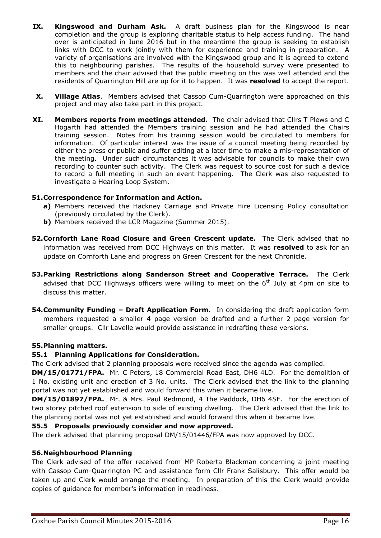- **IX. Kingswood and Durham Ask.** A draft business plan for the Kingswood is near completion and the group is exploring charitable status to help access funding. The hand over is anticipated in June 2016 but in the meantime the group is seeking to establish links with DCC to work jointly with them for experience and training in preparation. A variety of organisations are involved with the Kingswood group and it is agreed to extend this to neighbouring parishes. The results of the household survey were presented to members and the chair advised that the public meeting on this was well attended and the residents of Quarrington Hill are up for it to happen. It was **resolved** to accept the report.
- **X. Village Atlas**. Members advised that Cassop Cum-Quarrington were approached on this project and may also take part in this project.
- **XI. Members reports from meetings attended.** The chair advised that Cllrs T Plews and C Hogarth had attended the Members training session and he had attended the Chairs training session. Notes from his training session would be circulated to members for information. Of particular interest was the issue of a council meeting being recorded by either the press or public and suffer editing at a later time to make a mis-representation of the meeting. Under such circumstances it was advisable for councils to make their own recording to counter such activity. The Clerk was request to source cost for such a device to record a full meeting in such an event happening. The Clerk was also requested to investigate a Hearing Loop System.

### **51.Correspondence for Information and Action.**

- **a)** Members received the Hackney Carriage and Private Hire Licensing Policy consultation (previously circulated by the Clerk).
- **b)** Members received the LCR Magazine (Summer 2015).
- **52.Cornforth Lane Road Closure and Green Crescent update.** The Clerk advised that no information was received from DCC Highways on this matter. It was **resolved** to ask for an update on Cornforth Lane and progress on Green Crescent for the next Chronicle.
- **53.Parking Restrictions along Sanderson Street and Cooperative Terrace.** The Clerk advised that DCC Highways officers were willing to meet on the  $6<sup>th</sup>$  July at 4pm on site to discuss this matter.
- **54.Community Funding – Draft Application Form.** In considering the draft application form members requested a smaller 4 page version be drafted and a further 2 page version for smaller groups. Cllr Lavelle would provide assistance in redrafting these versions.

#### **55.Planning matters.**

#### **55.1 Planning Applications for Consideration.**

The Clerk advised that 2 planning proposals were received since the agenda was complied.

**DM/15/01771/FPA.** Mr. C Peters, 18 Commercial Road East, DH6 4LD. For the demolition of 1 No. existing unit and erection of 3 No. units. The Clerk advised that the link to the planning portal was not yet established and would forward this when it became live.

**DM/15/01897/FPA.** Mr. & Mrs. Paul Redmond, 4 The Paddock, DH6 4SF. For the erection of two storey pitched roof extension to side of existing dwelling. The Clerk advised that the link to the planning portal was not yet established and would forward this when it became live.

#### **55.5 Proposals previously consider and now approved.**

The clerk advised that planning proposal DM/15/01446/FPA was now approved by DCC.

#### **56.Neighbourhood Planning**

The Clerk advised of the offer received from MP Roberta Blackman concerning a joint meeting with Cassop Cum-Quarrington PC and assistance form Cllr Frank Salisbury. This offer would be taken up and Clerk would arrange the meeting. In preparation of this the Clerk would provide copies of guidance for member's information in readiness.